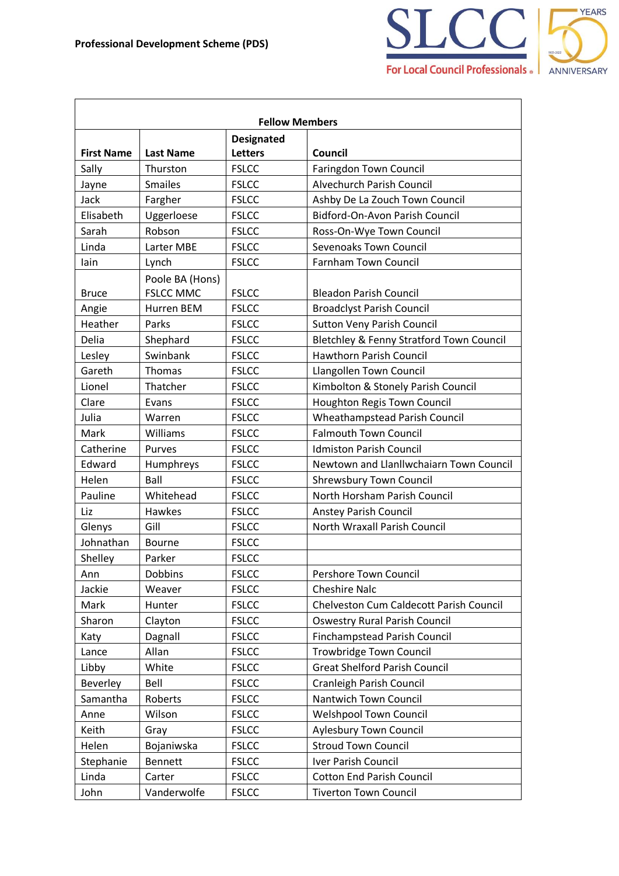

|                   |                  | <b>Fellow Members</b>               |                                          |
|-------------------|------------------|-------------------------------------|------------------------------------------|
| <b>First Name</b> | <b>Last Name</b> | <b>Designated</b><br><b>Letters</b> | <b>Council</b>                           |
| Sally             | Thurston         | <b>FSLCC</b>                        | Faringdon Town Council                   |
| Jayne             | <b>Smailes</b>   | <b>FSLCC</b>                        | Alvechurch Parish Council                |
| Jack              | Fargher          | <b>FSLCC</b>                        | Ashby De La Zouch Town Council           |
| Elisabeth         | Uggerloese       | <b>FSLCC</b>                        | Bidford-On-Avon Parish Council           |
| Sarah             | Robson           | <b>FSLCC</b>                        | Ross-On-Wye Town Council                 |
| Linda             | Larter MBE       | <b>FSLCC</b>                        | <b>Sevenoaks Town Council</b>            |
| lain              | Lynch            | <b>FSLCC</b>                        | <b>Farnham Town Council</b>              |
|                   | Poole BA (Hons)  |                                     |                                          |
| <b>Bruce</b>      | <b>FSLCC MMC</b> | <b>FSLCC</b>                        | <b>Bleadon Parish Council</b>            |
| Angie             | Hurren BEM       | <b>FSLCC</b>                        | <b>Broadclyst Parish Council</b>         |
| Heather           | Parks            | <b>FSLCC</b>                        | <b>Sutton Veny Parish Council</b>        |
| Delia             | Shephard         | <b>FSLCC</b>                        | Bletchley & Fenny Stratford Town Council |
| Lesley            | Swinbank         | <b>FSLCC</b>                        | Hawthorn Parish Council                  |
| Gareth            | Thomas           | <b>FSLCC</b>                        | Llangollen Town Council                  |
| Lionel            | Thatcher         | <b>FSLCC</b>                        | Kimbolton & Stonely Parish Council       |
| Clare             | Evans            | <b>FSLCC</b>                        | Houghton Regis Town Council              |
| Julia             | Warren           | <b>FSLCC</b>                        | Wheathampstead Parish Council            |
| Mark              | Williams         | <b>FSLCC</b>                        | <b>Falmouth Town Council</b>             |
| Catherine         | Purves           | <b>FSLCC</b>                        | <b>Idmiston Parish Council</b>           |
| Edward            | Humphreys        | <b>FSLCC</b>                        | Newtown and Llanllwchaiarn Town Council  |
| Helen             | Ball             | <b>FSLCC</b>                        | <b>Shrewsbury Town Council</b>           |
| Pauline           | Whitehead        | <b>FSLCC</b>                        | North Horsham Parish Council             |
| Liz               | Hawkes           | <b>FSLCC</b>                        | <b>Anstey Parish Council</b>             |
| Glenys            | Gill             | <b>FSLCC</b>                        | North Wraxall Parish Council             |
| Johnathan         | <b>Bourne</b>    | <b>FSLCC</b>                        |                                          |
| Shelley           | Parker           | <b>FSLCC</b>                        |                                          |
| Ann               | Dobbins          | <b>FSLCC</b>                        | Pershore Town Council                    |
| Jackie            | Weaver           | <b>FSLCC</b>                        | <b>Cheshire Nalc</b>                     |
| Mark              | Hunter           | <b>FSLCC</b>                        | Chelveston Cum Caldecott Parish Council  |
| Sharon            | Clayton          | <b>FSLCC</b>                        | <b>Oswestry Rural Parish Council</b>     |
| Katy              | Dagnall          | <b>FSLCC</b>                        | Finchampstead Parish Council             |
| Lance             | Allan            | <b>FSLCC</b>                        | Trowbridge Town Council                  |
| Libby             | White            | <b>FSLCC</b>                        | <b>Great Shelford Parish Council</b>     |
| Beverley          | Bell             | <b>FSLCC</b>                        | <b>Cranleigh Parish Council</b>          |
| Samantha          | Roberts          | <b>FSLCC</b>                        | Nantwich Town Council                    |
| Anne              | Wilson           | <b>FSLCC</b>                        | <b>Welshpool Town Council</b>            |
| Keith             | Gray             | <b>FSLCC</b>                        | Aylesbury Town Council                   |
| Helen             | Bojaniwska       | <b>FSLCC</b>                        | <b>Stroud Town Council</b>               |
| Stephanie         | <b>Bennett</b>   | <b>FSLCC</b>                        | Iver Parish Council                      |
| Linda             | Carter           | <b>FSLCC</b>                        | <b>Cotton End Parish Council</b>         |
| John              | Vanderwolfe      | <b>FSLCC</b>                        | <b>Tiverton Town Council</b>             |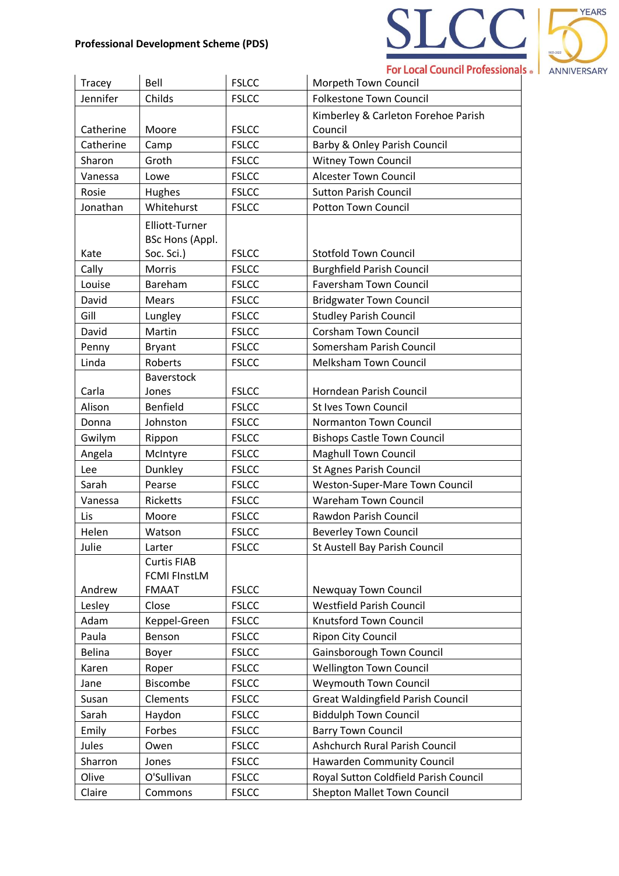

| Tracey        | Bell                | <b>FSLCC</b> | Morpeth Town Council                     |
|---------------|---------------------|--------------|------------------------------------------|
| Jennifer      | Childs              | <b>FSLCC</b> | <b>Folkestone Town Council</b>           |
|               |                     |              | Kimberley & Carleton Forehoe Parish      |
| Catherine     | Moore               | <b>FSLCC</b> | Council                                  |
| Catherine     | Camp                | <b>FSLCC</b> | <b>Barby &amp; Onley Parish Council</b>  |
| Sharon        | Groth               | <b>FSLCC</b> | <b>Witney Town Council</b>               |
| Vanessa       | Lowe                | <b>FSLCC</b> | <b>Alcester Town Council</b>             |
| Rosie         | Hughes              | <b>FSLCC</b> | <b>Sutton Parish Council</b>             |
| Jonathan      | Whitehurst          | <b>FSLCC</b> | <b>Potton Town Council</b>               |
|               | Elliott-Turner      |              |                                          |
|               | BSc Hons (Appl.     |              |                                          |
| Kate          | Soc. Sci.)          | <b>FSLCC</b> | <b>Stotfold Town Council</b>             |
| Cally         | Morris              | <b>FSLCC</b> | <b>Burghfield Parish Council</b>         |
| Louise        | Bareham             | <b>FSLCC</b> | <b>Faversham Town Council</b>            |
| David         | <b>Mears</b>        | <b>FSLCC</b> | <b>Bridgwater Town Council</b>           |
| Gill          | Lungley             | <b>FSLCC</b> | <b>Studley Parish Council</b>            |
| David         | Martin              | <b>FSLCC</b> | <b>Corsham Town Council</b>              |
| Penny         | <b>Bryant</b>       | <b>FSLCC</b> | Somersham Parish Council                 |
| Linda         | Roberts             | <b>FSLCC</b> | <b>Melksham Town Council</b>             |
|               | Baverstock          |              |                                          |
| Carla         | Jones               | <b>FSLCC</b> | Horndean Parish Council                  |
| Alison        | Benfield            | <b>FSLCC</b> | <b>St Ives Town Council</b>              |
| Donna         | Johnston            | <b>FSLCC</b> | Normanton Town Council                   |
| Gwilym        | Rippon              | <b>FSLCC</b> | <b>Bishops Castle Town Council</b>       |
| Angela        | McIntyre            | <b>FSLCC</b> | Maghull Town Council                     |
| Lee           | Dunkley             | <b>FSLCC</b> | <b>St Agnes Parish Council</b>           |
| Sarah         | Pearse              | <b>FSLCC</b> | Weston-Super-Mare Town Council           |
| Vanessa       | <b>Ricketts</b>     | <b>FSLCC</b> | <b>Wareham Town Council</b>              |
| Lis           | Moore               | <b>FSLCC</b> | Rawdon Parish Council                    |
| Helen         | Watson              | <b>FSLCC</b> | <b>Beverley Town Council</b>             |
| Julie         | Larter              | <b>FSLCC</b> | St Austell Bay Parish Council            |
|               | <b>Curtis FIAB</b>  |              |                                          |
|               | <b>FCMI FInstLM</b> |              |                                          |
| Andrew        | <b>FMAAT</b>        | <b>FSLCC</b> | <b>Newquay Town Council</b>              |
| Lesley        | Close               | <b>FSLCC</b> | <b>Westfield Parish Council</b>          |
| Adam          | Keppel-Green        | <b>FSLCC</b> | Knutsford Town Council                   |
| Paula         | Benson              | <b>FSLCC</b> | <b>Ripon City Council</b>                |
| <b>Belina</b> | Boyer               | <b>FSLCC</b> | Gainsborough Town Council                |
| Karen         | Roper               | <b>FSLCC</b> | <b>Wellington Town Council</b>           |
| Jane          | Biscombe            | <b>FSLCC</b> | <b>Weymouth Town Council</b>             |
| Susan         | Clements            | <b>FSLCC</b> | <b>Great Waldingfield Parish Council</b> |
| Sarah         | Haydon              | <b>FSLCC</b> | <b>Biddulph Town Council</b>             |
| Emily         | Forbes              | <b>FSLCC</b> | <b>Barry Town Council</b>                |
| Jules         | Owen                | <b>FSLCC</b> | Ashchurch Rural Parish Council           |
| Sharron       | Jones               | <b>FSLCC</b> | <b>Hawarden Community Council</b>        |
| Olive         | O'Sullivan          | <b>FSLCC</b> | Royal Sutton Coldfield Parish Council    |
| Claire        | Commons             | <b>FSLCC</b> | <b>Shepton Mallet Town Council</b>       |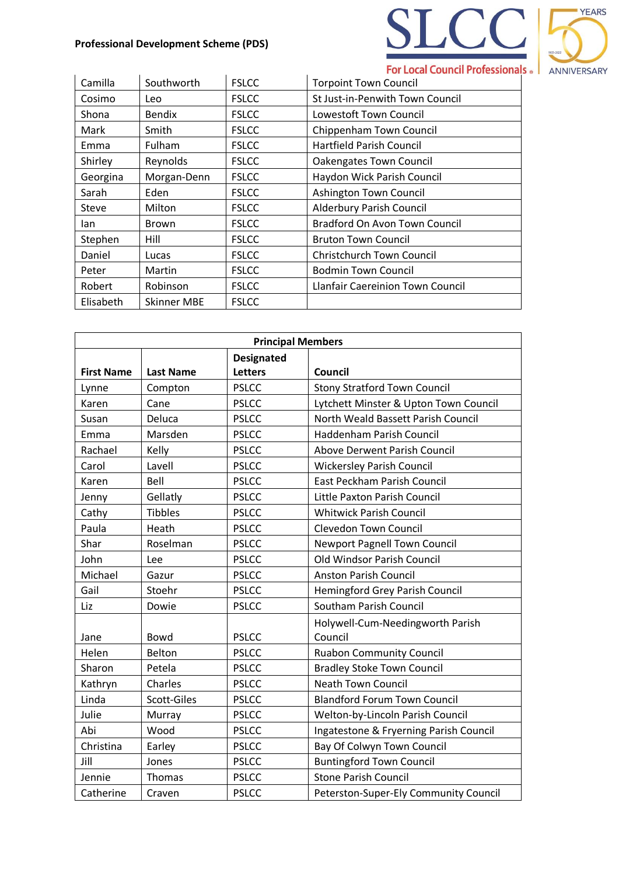

| Camilla   | Southworth         | <b>FSLCC</b> | <b>Torpoint Town Council</b>     |
|-----------|--------------------|--------------|----------------------------------|
| Cosimo    | Leo.               | <b>FSLCC</b> | St Just-in-Penwith Town Council  |
| Shona     | <b>Bendix</b>      | <b>FSLCC</b> | Lowestoft Town Council           |
| Mark      | Smith              | <b>FSLCC</b> | Chippenham Town Council          |
| Emma      | Fulham             | <b>FSLCC</b> | <b>Hartfield Parish Council</b>  |
| Shirley   | Reynolds           | <b>FSLCC</b> | Oakengates Town Council          |
| Georgina  | Morgan-Denn        | <b>FSLCC</b> | Haydon Wick Parish Council       |
| Sarah     | Eden               | <b>FSLCC</b> | Ashington Town Council           |
| Steve     | Milton             | <b>FSLCC</b> | <b>Alderbury Parish Council</b>  |
| lan       | <b>Brown</b>       | <b>FSLCC</b> | Bradford On Avon Town Council    |
| Stephen   | Hill               | <b>FSLCC</b> | <b>Bruton Town Council</b>       |
| Daniel    | Lucas              | <b>FSLCC</b> | <b>Christchurch Town Council</b> |
| Peter     | Martin             | <b>FSLCC</b> | <b>Bodmin Town Council</b>       |
| Robert    | Robinson           | <b>FSLCC</b> | Llanfair Caereinion Town Council |
| Elisabeth | <b>Skinner MBE</b> | <b>FSLCC</b> |                                  |

| <b>Principal Members</b> |                  |                   |                                        |  |
|--------------------------|------------------|-------------------|----------------------------------------|--|
|                          |                  | <b>Designated</b> |                                        |  |
| <b>First Name</b>        | <b>Last Name</b> | <b>Letters</b>    | Council                                |  |
| Lynne                    | Compton          | <b>PSLCC</b>      | <b>Stony Stratford Town Council</b>    |  |
| Karen                    | Cane             | <b>PSLCC</b>      | Lytchett Minster & Upton Town Council  |  |
| Susan                    | Deluca           | <b>PSLCC</b>      | North Weald Bassett Parish Council     |  |
| Emma                     | Marsden          | <b>PSLCC</b>      | Haddenham Parish Council               |  |
| Rachael                  | Kelly            | <b>PSLCC</b>      | Above Derwent Parish Council           |  |
| Carol                    | Lavell           | <b>PSLCC</b>      | <b>Wickersley Parish Council</b>       |  |
| Karen                    | Bell             | <b>PSLCC</b>      | East Peckham Parish Council            |  |
| Jenny                    | Gellatly         | <b>PSLCC</b>      | Little Paxton Parish Council           |  |
| Cathy                    | <b>Tibbles</b>   | <b>PSLCC</b>      | <b>Whitwick Parish Council</b>         |  |
| Paula                    | Heath            | <b>PSLCC</b>      | <b>Clevedon Town Council</b>           |  |
| Shar                     | Roselman         | <b>PSLCC</b>      | Newport Pagnell Town Council           |  |
| John                     | Lee              | <b>PSLCC</b>      | Old Windsor Parish Council             |  |
| Michael                  | Gazur            | <b>PSLCC</b>      | <b>Anston Parish Council</b>           |  |
| Gail                     | Stoehr           | <b>PSLCC</b>      | <b>Hemingford Grey Parish Council</b>  |  |
| Liz                      | Dowie            | <b>PSLCC</b>      | Southam Parish Council                 |  |
|                          |                  |                   | Holywell-Cum-Needingworth Parish       |  |
| Jane                     | Bowd             | <b>PSLCC</b>      | Council                                |  |
| Helen                    | <b>Belton</b>    | <b>PSLCC</b>      | <b>Ruabon Community Council</b>        |  |
| Sharon                   | Petela           | <b>PSLCC</b>      | <b>Bradley Stoke Town Council</b>      |  |
| Kathryn                  | Charles          | <b>PSLCC</b>      | <b>Neath Town Council</b>              |  |
| Linda                    | Scott-Giles      | <b>PSLCC</b>      | <b>Blandford Forum Town Council</b>    |  |
| Julie                    | Murray           | <b>PSLCC</b>      | Welton-by-Lincoln Parish Council       |  |
| Abi                      | Wood             | <b>PSLCC</b>      | Ingatestone & Fryerning Parish Council |  |
| Christina                | Earley           | <b>PSLCC</b>      | Bay Of Colwyn Town Council             |  |
| Jill                     | Jones            | <b>PSLCC</b>      | <b>Buntingford Town Council</b>        |  |
| Jennie                   | Thomas           | <b>PSLCC</b>      | <b>Stone Parish Council</b>            |  |
| Catherine                | Craven           | <b>PSLCC</b>      | Peterston-Super-Ely Community Council  |  |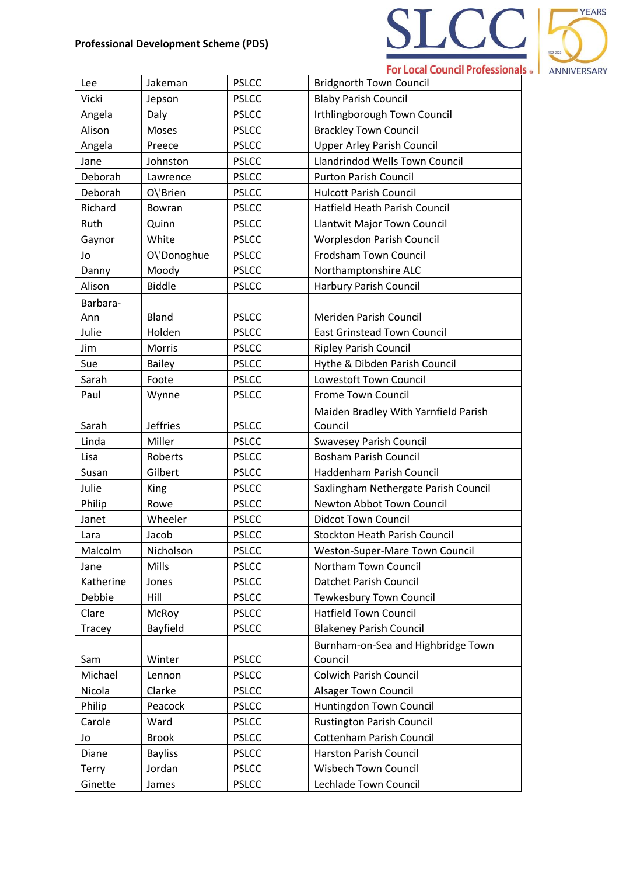

| Lee          | Jakeman         | <b>PSLCC</b> | <b>Bridgnorth Town Council</b>        |
|--------------|-----------------|--------------|---------------------------------------|
| Vicki        | Jepson          | <b>PSLCC</b> | <b>Blaby Parish Council</b>           |
| Angela       | Daly            | <b>PSLCC</b> | Irthlingborough Town Council          |
| Alison       | Moses           | <b>PSLCC</b> | <b>Brackley Town Council</b>          |
| Angela       | Preece          | <b>PSLCC</b> | <b>Upper Arley Parish Council</b>     |
| Jane         | Johnston        | <b>PSLCC</b> | <b>Llandrindod Wells Town Council</b> |
| Deborah      | Lawrence        | <b>PSLCC</b> | <b>Purton Parish Council</b>          |
| Deborah      | O\'Brien        | <b>PSLCC</b> | <b>Hulcott Parish Council</b>         |
| Richard      | Bowran          | <b>PSLCC</b> | Hatfield Heath Parish Council         |
| Ruth         | Quinn           | <b>PSLCC</b> | Llantwit Major Town Council           |
| Gaynor       | White           | <b>PSLCC</b> | Worplesdon Parish Council             |
| Jo           | O\'Donoghue     | <b>PSLCC</b> | Frodsham Town Council                 |
| Danny        | Moody           | <b>PSLCC</b> | Northamptonshire ALC                  |
| Alison       | <b>Biddle</b>   | <b>PSLCC</b> | <b>Harbury Parish Council</b>         |
| Barbara-     |                 |              |                                       |
| Ann          | <b>Bland</b>    | <b>PSLCC</b> | Meriden Parish Council                |
| Julie        | Holden          | <b>PSLCC</b> | <b>East Grinstead Town Council</b>    |
| Jim          | Morris          | <b>PSLCC</b> | <b>Ripley Parish Council</b>          |
| Sue          | <b>Bailey</b>   | <b>PSLCC</b> | Hythe & Dibden Parish Council         |
| Sarah        | Foote           | <b>PSLCC</b> | Lowestoft Town Council                |
| Paul         | Wynne           | <b>PSLCC</b> | Frome Town Council                    |
|              |                 |              | Maiden Bradley With Yarnfield Parish  |
| Sarah        | <b>Jeffries</b> | <b>PSLCC</b> | Council                               |
| Linda        | Miller          | <b>PSLCC</b> | <b>Swavesey Parish Council</b>        |
| Lisa         | Roberts         | <b>PSLCC</b> | <b>Bosham Parish Council</b>          |
| Susan        | Gilbert         | <b>PSLCC</b> | Haddenham Parish Council              |
| Julie        | King            | <b>PSLCC</b> | Saxlingham Nethergate Parish Council  |
| Philip       | Rowe            | <b>PSLCC</b> | Newton Abbot Town Council             |
| Janet        | Wheeler         | <b>PSLCC</b> | <b>Didcot Town Council</b>            |
| Lara         | Jacob           | <b>PSLCC</b> | <b>Stockton Heath Parish Council</b>  |
| Malcolm      | Nicholson       | <b>PSLCC</b> | Weston-Super-Mare Town Council        |
| Jane         | Mills           | <b>PSLCC</b> | Northam Town Council                  |
| Katherine    | Jones           | <b>PSLCC</b> | Datchet Parish Council                |
| Debbie       | Hill            | <b>PSLCC</b> | <b>Tewkesbury Town Council</b>        |
| Clare        | McRoy           | <b>PSLCC</b> | <b>Hatfield Town Council</b>          |
| Tracey       | Bayfield        | <b>PSLCC</b> | <b>Blakeney Parish Council</b>        |
|              |                 |              | Burnham-on-Sea and Highbridge Town    |
| Sam          | Winter          | <b>PSLCC</b> | Council                               |
| Michael      | Lennon          | <b>PSLCC</b> | <b>Colwich Parish Council</b>         |
| Nicola       | Clarke          | <b>PSLCC</b> | <b>Alsager Town Council</b>           |
| Philip       | Peacock         | <b>PSLCC</b> | Huntingdon Town Council               |
| Carole       | Ward            | <b>PSLCC</b> | <b>Rustington Parish Council</b>      |
| Jo           | <b>Brook</b>    | <b>PSLCC</b> | <b>Cottenham Parish Council</b>       |
| Diane        | <b>Bayliss</b>  | <b>PSLCC</b> | Harston Parish Council                |
| <b>Terry</b> | Jordan          | <b>PSLCC</b> | Wisbech Town Council                  |
| Ginette      | James           | <b>PSLCC</b> | Lechlade Town Council                 |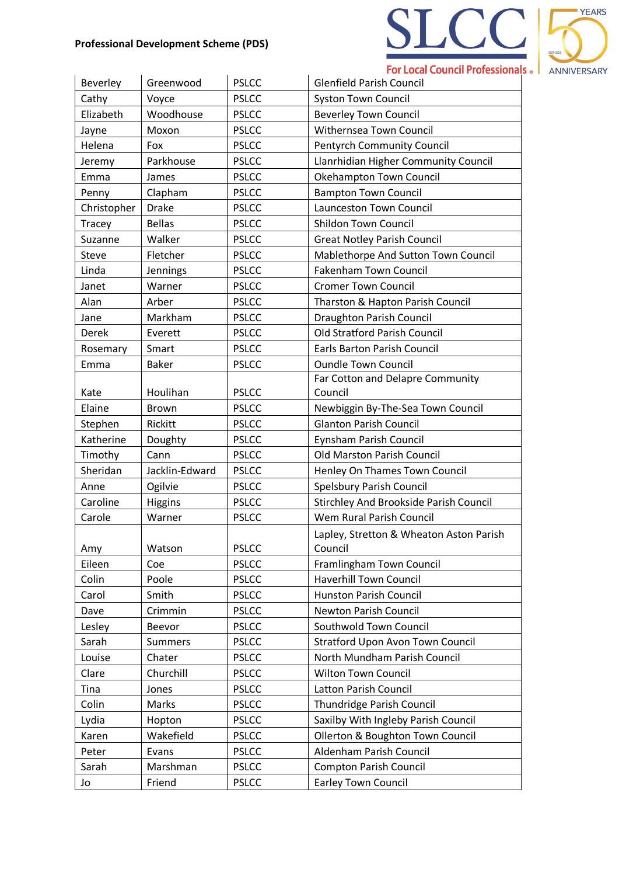

| Beverley     | Greenwood      | <b>PSLCC</b> | <b>Glenfield Parish Council</b>                    |
|--------------|----------------|--------------|----------------------------------------------------|
| Cathy        | Voyce          | <b>PSLCC</b> | <b>Syston Town Council</b>                         |
| Elizabeth    | Woodhouse      | <b>PSLCC</b> | <b>Beverley Town Council</b>                       |
| Jayne        | Moxon          | <b>PSLCC</b> | Withernsea Town Council                            |
| Helena       | Fox            | <b>PSLCC</b> | <b>Pentyrch Community Council</b>                  |
| Jeremy       | Parkhouse      | <b>PSLCC</b> | Llanrhidian Higher Community Council               |
| Emma         | James          | <b>PSLCC</b> | Okehampton Town Council                            |
| Penny        | Clapham        | <b>PSLCC</b> | <b>Bampton Town Council</b>                        |
| Christopher  | <b>Drake</b>   | <b>PSLCC</b> | Launceston Town Council                            |
| Tracey       | <b>Bellas</b>  | <b>PSLCC</b> | <b>Shildon Town Council</b>                        |
| Suzanne      | Walker         | <b>PSLCC</b> | <b>Great Notley Parish Council</b>                 |
| <b>Steve</b> | Fletcher       | <b>PSLCC</b> | Mablethorpe And Sutton Town Council                |
| Linda        | Jennings       | <b>PSLCC</b> | <b>Fakenham Town Council</b>                       |
| Janet        | Warner         | <b>PSLCC</b> | <b>Cromer Town Council</b>                         |
| Alan         | Arber          | <b>PSLCC</b> | Tharston & Hapton Parish Council                   |
| Jane         | Markham        | <b>PSLCC</b> | <b>Draughton Parish Council</b>                    |
| Derek        | Everett        | <b>PSLCC</b> | Old Stratford Parish Council                       |
| Rosemary     | Smart          | <b>PSLCC</b> | <b>Earls Barton Parish Council</b>                 |
| Emma         | <b>Baker</b>   | <b>PSLCC</b> | <b>Oundle Town Council</b>                         |
|              |                |              | Far Cotton and Delapre Community                   |
| Kate         | Houlihan       | <b>PSLCC</b> | Council                                            |
| Elaine       | <b>Brown</b>   | <b>PSLCC</b> | Newbiggin By-The-Sea Town Council                  |
| Stephen      | Rickitt        | <b>PSLCC</b> | <b>Glanton Parish Council</b>                      |
| Katherine    | Doughty        | <b>PSLCC</b> | Eynsham Parish Council                             |
| Timothy      | Cann           | <b>PSLCC</b> | Old Marston Parish Council                         |
| Sheridan     | Jacklin-Edward | <b>PSLCC</b> | Henley On Thames Town Council                      |
| Anne         | Ogilvie        | <b>PSLCC</b> | Spelsbury Parish Council                           |
| Caroline     | Higgins        | <b>PSLCC</b> | <b>Stirchley And Brookside Parish Council</b>      |
| Carole       | Warner         | <b>PSLCC</b> | Wem Rural Parish Council                           |
| Amy          | Watson         | <b>PSLCC</b> | Lapley, Stretton & Wheaton Aston Parish<br>Council |
| Eileen       | Coe            | <b>PSLCC</b> | Framlingham Town Council                           |
| Colin        | Poole          | <b>PSLCC</b> | <b>Haverhill Town Council</b>                      |
| Carol        | Smith          | <b>PSLCC</b> | <b>Hunston Parish Council</b>                      |
| Dave         | Crimmin        | <b>PSLCC</b> | Newton Parish Council                              |
| Lesley       | <b>Beevor</b>  | <b>PSLCC</b> | Southwold Town Council                             |
| Sarah        | Summers        | <b>PSLCC</b> | <b>Stratford Upon Avon Town Council</b>            |
| Louise       | Chater         | <b>PSLCC</b> | North Mundham Parish Council                       |
| Clare        | Churchill      | <b>PSLCC</b> | <b>Wilton Town Council</b>                         |
| Tina         | Jones          | <b>PSLCC</b> | Latton Parish Council                              |
| Colin        | Marks          | <b>PSLCC</b> | Thundridge Parish Council                          |
| Lydia        | Hopton         | <b>PSLCC</b> | Saxilby With Ingleby Parish Council                |
| Karen        | Wakefield      | <b>PSLCC</b> | Ollerton & Boughton Town Council                   |
| Peter        | Evans          | <b>PSLCC</b> | Aldenham Parish Council                            |
| Sarah        | Marshman       | <b>PSLCC</b> | <b>Compton Parish Council</b>                      |
| Jo           | Friend         | <b>PSLCC</b> | <b>Earley Town Council</b>                         |
|              |                |              |                                                    |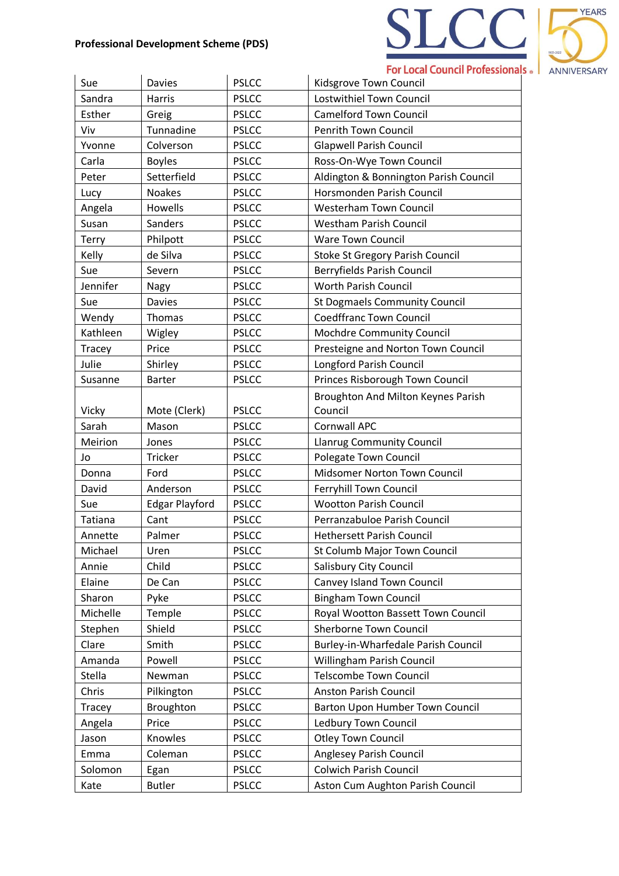

| Sue           | <b>Davies</b>         | <b>PSLCC</b> | Kidsgrove Town Council                 |
|---------------|-----------------------|--------------|----------------------------------------|
| Sandra        | Harris                | <b>PSLCC</b> | Lostwithiel Town Council               |
| Esther        | Greig                 | <b>PSLCC</b> | <b>Camelford Town Council</b>          |
| Viv           | Tunnadine             | <b>PSLCC</b> | Penrith Town Council                   |
| Yvonne        | Colverson             | <b>PSLCC</b> | <b>Glapwell Parish Council</b>         |
| Carla         | <b>Boyles</b>         | <b>PSLCC</b> | Ross-On-Wye Town Council               |
| Peter         | Setterfield           | <b>PSLCC</b> | Aldington & Bonnington Parish Council  |
| Lucy          | <b>Noakes</b>         | <b>PSLCC</b> | Horsmonden Parish Council              |
| Angela        | Howells               | <b>PSLCC</b> | <b>Westerham Town Council</b>          |
| Susan         | Sanders               | <b>PSLCC</b> | <b>Westham Parish Council</b>          |
| <b>Terry</b>  | Philpott              | <b>PSLCC</b> | <b>Ware Town Council</b>               |
| Kelly         | de Silva              | <b>PSLCC</b> | <b>Stoke St Gregory Parish Council</b> |
| Sue           | Severn                | <b>PSLCC</b> | Berryfields Parish Council             |
| Jennifer      | Nagy                  | <b>PSLCC</b> | <b>Worth Parish Council</b>            |
| Sue           | Davies                | <b>PSLCC</b> | <b>St Dogmaels Community Council</b>   |
| Wendy         | Thomas                | <b>PSLCC</b> | <b>Coedffranc Town Council</b>         |
| Kathleen      | Wigley                | <b>PSLCC</b> | Mochdre Community Council              |
| <b>Tracey</b> | Price                 | <b>PSLCC</b> | Presteigne and Norton Town Council     |
| Julie         | Shirley               | <b>PSLCC</b> | Longford Parish Council                |
| Susanne       | <b>Barter</b>         | <b>PSLCC</b> | Princes Risborough Town Council        |
|               |                       |              | Broughton And Milton Keynes Parish     |
| Vicky         | Mote (Clerk)          | <b>PSLCC</b> | Council                                |
| Sarah         | Mason                 | <b>PSLCC</b> | <b>Cornwall APC</b>                    |
| Meirion       | Jones                 | <b>PSLCC</b> | <b>Llanrug Community Council</b>       |
| Jo            | Tricker               | <b>PSLCC</b> | Polegate Town Council                  |
| Donna         | Ford                  | <b>PSLCC</b> | Midsomer Norton Town Council           |
| David         | Anderson              | <b>PSLCC</b> | Ferryhill Town Council                 |
| Sue           | <b>Edgar Playford</b> | <b>PSLCC</b> | <b>Wootton Parish Council</b>          |
| Tatiana       | Cant                  | <b>PSLCC</b> | Perranzabuloe Parish Council           |
| Annette       | Palmer                | <b>PSLCC</b> | <b>Hethersett Parish Council</b>       |
| Michael       | Uren                  | <b>PSLCC</b> | St Columb Major Town Council           |
| Annie         | Child                 | <b>PSLCC</b> | Salisbury City Council                 |
| Elaine        | De Can                | <b>PSLCC</b> | Canvey Island Town Council             |
| Sharon        | Pyke                  | <b>PSLCC</b> | <b>Bingham Town Council</b>            |
| Michelle      | Temple                | <b>PSLCC</b> | Royal Wootton Bassett Town Council     |
| Stephen       | Shield                | <b>PSLCC</b> | <b>Sherborne Town Council</b>          |
| Clare         | Smith                 | <b>PSLCC</b> | Burley-in-Wharfedale Parish Council    |
| Amanda        | Powell                | <b>PSLCC</b> | Willingham Parish Council              |
| Stella        | Newman                | <b>PSLCC</b> | <b>Telscombe Town Council</b>          |
| Chris         | Pilkington            | <b>PSLCC</b> | Anston Parish Council                  |
| Tracey        | Broughton             | <b>PSLCC</b> | Barton Upon Humber Town Council        |
| Angela        | Price                 | <b>PSLCC</b> | Ledbury Town Council                   |
| Jason         | Knowles               | <b>PSLCC</b> | <b>Otley Town Council</b>              |
| Emma          | Coleman               | <b>PSLCC</b> | Anglesey Parish Council                |
| Solomon       | Egan                  | <b>PSLCC</b> | <b>Colwich Parish Council</b>          |
| Kate          | <b>Butler</b>         | <b>PSLCC</b> | Aston Cum Aughton Parish Council       |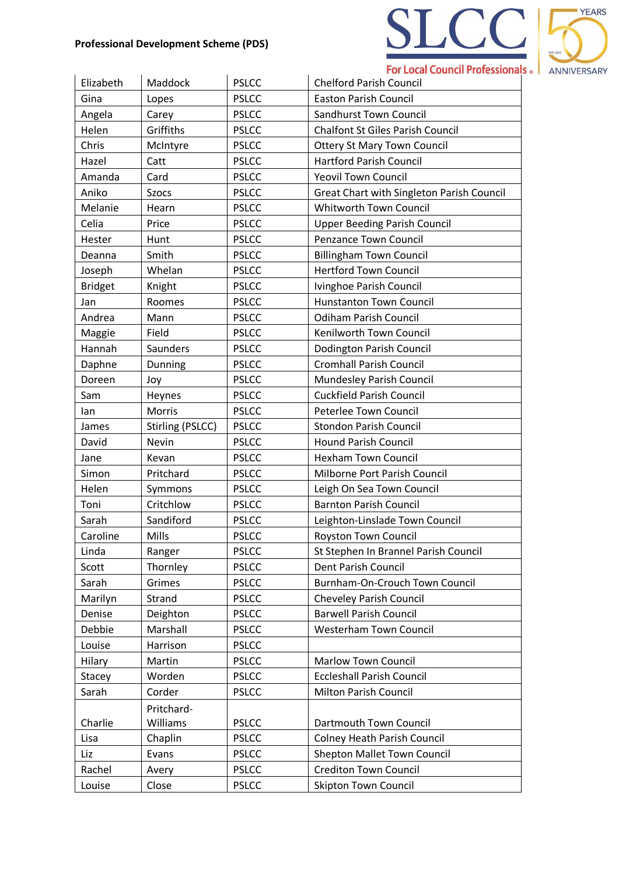

| Elizabeth      | Maddock          | <b>PSLCC</b> | <b>Chelford Parish Council</b>            |
|----------------|------------------|--------------|-------------------------------------------|
| Gina           | Lopes            | <b>PSLCC</b> | <b>Easton Parish Council</b>              |
| Angela         | Carey            | <b>PSLCC</b> | <b>Sandhurst Town Council</b>             |
| Helen          | Griffiths        | <b>PSLCC</b> | <b>Chalfont St Giles Parish Council</b>   |
| Chris          | McIntyre         | <b>PSLCC</b> | <b>Ottery St Mary Town Council</b>        |
| Hazel          | Catt             | <b>PSLCC</b> | <b>Hartford Parish Council</b>            |
| Amanda         | Card             | <b>PSLCC</b> | <b>Yeovil Town Council</b>                |
| Aniko          | <b>Szocs</b>     | <b>PSLCC</b> | Great Chart with Singleton Parish Council |
| Melanie        | Hearn            | <b>PSLCC</b> | Whitworth Town Council                    |
| Celia          | Price            | <b>PSLCC</b> | <b>Upper Beeding Parish Council</b>       |
| Hester         | Hunt             | <b>PSLCC</b> | Penzance Town Council                     |
| Deanna         | Smith            | <b>PSLCC</b> | <b>Billingham Town Council</b>            |
| Joseph         | Whelan           | <b>PSLCC</b> | <b>Hertford Town Council</b>              |
| <b>Bridget</b> | Knight           | <b>PSLCC</b> | Ivinghoe Parish Council                   |
| Jan            | Roomes           | <b>PSLCC</b> | <b>Hunstanton Town Council</b>            |
| Andrea         | Mann             | <b>PSLCC</b> | <b>Odiham Parish Council</b>              |
| Maggie         | Field            | <b>PSLCC</b> | Kenilworth Town Council                   |
| Hannah         | Saunders         | <b>PSLCC</b> | <b>Dodington Parish Council</b>           |
| Daphne         | Dunning          | <b>PSLCC</b> | <b>Cromhall Parish Council</b>            |
| Doreen         | Joy              | <b>PSLCC</b> | Mundesley Parish Council                  |
| Sam            | Heynes           | <b>PSLCC</b> | <b>Cuckfield Parish Council</b>           |
| lan            | Morris           | <b>PSLCC</b> | Peterlee Town Council                     |
| James          | Stirling (PSLCC) | <b>PSLCC</b> | <b>Stondon Parish Council</b>             |
| David          | Nevin            | <b>PSLCC</b> | <b>Hound Parish Council</b>               |
| Jane           | Kevan            | <b>PSLCC</b> | <b>Hexham Town Council</b>                |
| Simon          | Pritchard        | <b>PSLCC</b> | Milborne Port Parish Council              |
| Helen          | Symmons          | <b>PSLCC</b> | Leigh On Sea Town Council                 |
| Toni           | Critchlow        | <b>PSLCC</b> | <b>Barnton Parish Council</b>             |
| Sarah          | Sandiford        | <b>PSLCC</b> | Leighton-Linslade Town Council            |
| Caroline       | Mills            | <b>PSLCC</b> | <b>Royston Town Council</b>               |
| Linda          | Ranger           | <b>PSLCC</b> | St Stephen In Brannel Parish Council      |
| Scott          | Thornley         | <b>PSLCC</b> | Dent Parish Council                       |
| Sarah          | Grimes           | <b>PSLCC</b> | Burnham-On-Crouch Town Council            |
| Marilyn        | Strand           | <b>PSLCC</b> | <b>Cheveley Parish Council</b>            |
| Denise         | Deighton         | <b>PSLCC</b> | <b>Barwell Parish Council</b>             |
| Debbie         | Marshall         | <b>PSLCC</b> | Westerham Town Council                    |
| Louise         | Harrison         | <b>PSLCC</b> |                                           |
| Hilary         | Martin           | <b>PSLCC</b> | <b>Marlow Town Council</b>                |
| Stacey         | Worden           | <b>PSLCC</b> | <b>Eccleshall Parish Council</b>          |
| Sarah          | Corder           | <b>PSLCC</b> | Milton Parish Council                     |
|                | Pritchard-       |              |                                           |
| Charlie        | Williams         | <b>PSLCC</b> | Dartmouth Town Council                    |
| Lisa           | Chaplin          | <b>PSLCC</b> | <b>Colney Heath Parish Council</b>        |
| Liz            | Evans            | <b>PSLCC</b> | <b>Shepton Mallet Town Council</b>        |
| Rachel         | Avery            | <b>PSLCC</b> | <b>Crediton Town Council</b>              |
| Louise         | Close            | <b>PSLCC</b> | <b>Skipton Town Council</b>               |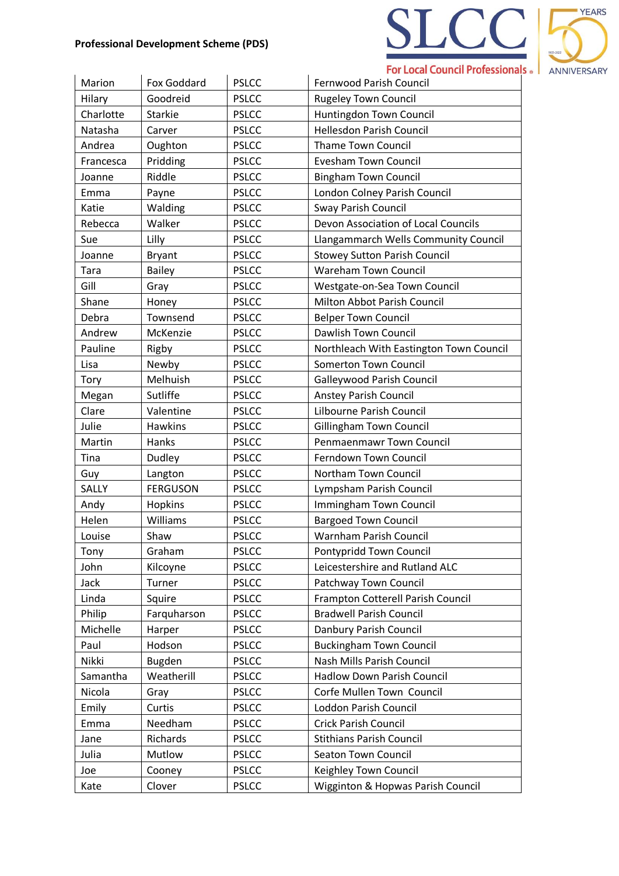

| Marion    | Fox Goddard     | <b>PSLCC</b> | <b>Fernwood Parish Council</b>          |
|-----------|-----------------|--------------|-----------------------------------------|
| Hilary    | Goodreid        | <b>PSLCC</b> | <b>Rugeley Town Council</b>             |
| Charlotte | <b>Starkie</b>  | <b>PSLCC</b> | Huntingdon Town Council                 |
| Natasha   | Carver          | <b>PSLCC</b> | <b>Hellesdon Parish Council</b>         |
| Andrea    | Oughton         | <b>PSLCC</b> | <b>Thame Town Council</b>               |
| Francesca | Pridding        | <b>PSLCC</b> | <b>Evesham Town Council</b>             |
| Joanne    | Riddle          | <b>PSLCC</b> | <b>Bingham Town Council</b>             |
| Emma      | Payne           | <b>PSLCC</b> | London Colney Parish Council            |
| Katie     | Walding         | <b>PSLCC</b> | Sway Parish Council                     |
| Rebecca   | Walker          | <b>PSLCC</b> | Devon Association of Local Councils     |
| Sue       | Lilly           | <b>PSLCC</b> | Llangammarch Wells Community Council    |
| Joanne    | <b>Bryant</b>   | <b>PSLCC</b> | <b>Stowey Sutton Parish Council</b>     |
| Tara      | <b>Bailey</b>   | <b>PSLCC</b> | <b>Wareham Town Council</b>             |
| Gill      | Gray            | <b>PSLCC</b> | Westgate-on-Sea Town Council            |
| Shane     | Honey           | <b>PSLCC</b> | Milton Abbot Parish Council             |
| Debra     | Townsend        | <b>PSLCC</b> | <b>Belper Town Council</b>              |
| Andrew    | McKenzie        | <b>PSLCC</b> | Dawlish Town Council                    |
| Pauline   | Rigby           | <b>PSLCC</b> | Northleach With Eastington Town Council |
| Lisa      | Newby           | <b>PSLCC</b> | Somerton Town Council                   |
| Tory      | Melhuish        | <b>PSLCC</b> | Galleywood Parish Council               |
| Megan     | Sutliffe        | <b>PSLCC</b> | <b>Anstey Parish Council</b>            |
| Clare     | Valentine       | <b>PSLCC</b> | Lilbourne Parish Council                |
| Julie     | <b>Hawkins</b>  | <b>PSLCC</b> | Gillingham Town Council                 |
| Martin    | Hanks           | <b>PSLCC</b> | Penmaenmawr Town Council                |
| Tina      | Dudley          | <b>PSLCC</b> | Ferndown Town Council                   |
| Guy       | Langton         | <b>PSLCC</b> | Northam Town Council                    |
| SALLY     | <b>FERGUSON</b> | <b>PSLCC</b> | Lympsham Parish Council                 |
| Andy      | Hopkins         | <b>PSLCC</b> | Immingham Town Council                  |
| Helen     | Williams        | <b>PSLCC</b> | <b>Bargoed Town Council</b>             |
| Louise    | Shaw            | <b>PSLCC</b> | Warnham Parish Council                  |
| Tony      | Graham          | <b>PSLCC</b> | Pontypridd Town Council                 |
| John      | Kilcoyne        | <b>PSLCC</b> | Leicestershire and Rutland ALC          |
| Jack      | Turner          | <b>PSLCC</b> | Patchway Town Council                   |
| Linda     | Squire          | <b>PSLCC</b> | Frampton Cotterell Parish Council       |
| Philip    | Farquharson     | <b>PSLCC</b> | <b>Bradwell Parish Council</b>          |
| Michelle  | Harper          | <b>PSLCC</b> | Danbury Parish Council                  |
| Paul      | Hodson          | <b>PSLCC</b> | <b>Buckingham Town Council</b>          |
| Nikki     | <b>Bugden</b>   | <b>PSLCC</b> | Nash Mills Parish Council               |
| Samantha  | Weatherill      | <b>PSLCC</b> | <b>Hadlow Down Parish Council</b>       |
| Nicola    | Gray            | <b>PSLCC</b> | Corfe Mullen Town Council               |
| Emily     | Curtis          | <b>PSLCC</b> | Loddon Parish Council                   |
| Emma      | Needham         | <b>PSLCC</b> | <b>Crick Parish Council</b>             |
| Jane      | Richards        | <b>PSLCC</b> | <b>Stithians Parish Council</b>         |
| Julia     | Mutlow          | <b>PSLCC</b> | Seaton Town Council                     |
| Joe       | Cooney          | <b>PSLCC</b> | Keighley Town Council                   |
| Kate      | Clover          | <b>PSLCC</b> | Wigginton & Hopwas Parish Council       |